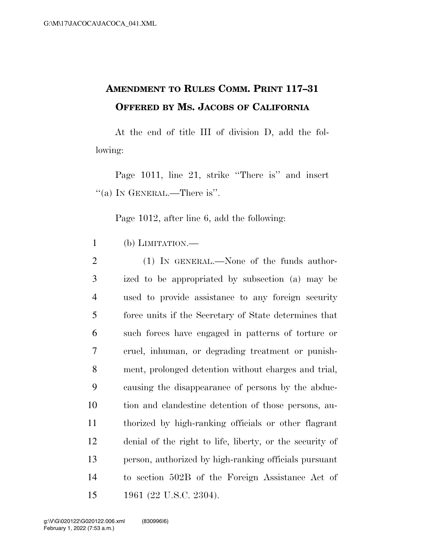## **AMENDMENT TO RULES COMM. PRINT 117–31 OFFERED BY MS. JACOBS OF CALIFORNIA**

At the end of title III of division D, add the following:

Page 1011, line 21, strike "There is" and insert  $\lq($ a) In GENERAL.—There is''.

Page 1012, after line 6, add the following:

1 (b) LIMITATION.—

2 (1) IN GENERAL.—None of the funds author- ized to be appropriated by subsection (a) may be used to provide assistance to any foreign security force units if the Secretary of State determines that such forces have engaged in patterns of torture or cruel, inhuman, or degrading treatment or punish- ment, prolonged detention without charges and trial, causing the disappearance of persons by the abduc- tion and clandestine detention of those persons, au- thorized by high-ranking officials or other flagrant denial of the right to life, liberty, or the security of person, authorized by high-ranking officials pursuant to section 502B of the Foreign Assistance Act of 1961 (22 U.S.C. 2304).